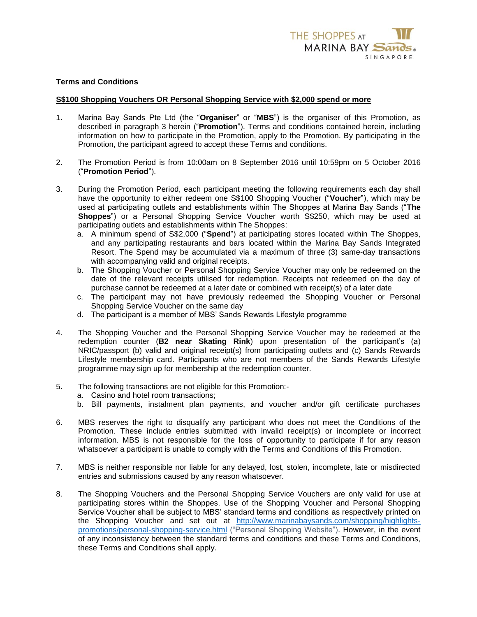

## **Terms and Conditions**

## **S\$100 Shopping Vouchers OR Personal Shopping Service with \$2,000 spend or more**

- 1. Marina Bay Sands Pte Ltd (the "**Organiser**" or "**MBS**") is the organiser of this Promotion, as described in paragraph 3 herein ("**Promotion**"). Terms and conditions contained herein, including information on how to participate in the Promotion, apply to the Promotion. By participating in the Promotion, the participant agreed to accept these Terms and conditions.
- 2. The Promotion Period is from 10:00am on 8 September 2016 until 10:59pm on 5 October 2016 ("**Promotion Period**").
- 3. During the Promotion Period, each participant meeting the following requirements each day shall have the opportunity to either redeem one S\$100 Shopping Voucher ("**Voucher**"), which may be used at participating outlets and establishments within The Shoppes at Marina Bay Sands ("**The Shoppes**") or a Personal Shopping Service Voucher worth S\$250, which may be used at participating outlets and establishments within The Shoppes:
	- a. A minimum spend of S\$2,000 ("**Spend**") at participating stores located within The Shoppes, and any participating restaurants and bars located within the Marina Bay Sands Integrated Resort. The Spend may be accumulated via a maximum of three (3) same-day transactions with accompanying valid and original receipts.
	- b. The Shopping Voucher or Personal Shopping Service Voucher may only be redeemed on the date of the relevant receipts utilised for redemption. Receipts not redeemed on the day of purchase cannot be redeemed at a later date or combined with receipt(s) of a later date
	- c. The participant may not have previously redeemed the Shopping Voucher or Personal Shopping Service Voucher on the same day
	- d. The participant is a member of MBS' Sands Rewards Lifestyle programme
- 4. The Shopping Voucher and the Personal Shopping Service Voucher may be redeemed at the redemption counter (**B2 near Skating Rink**) upon presentation of the participant's (a) NRIC/passport (b) valid and original receipt(s) from participating outlets and (c) Sands Rewards Lifestyle membership card. Participants who are not members of the Sands Rewards Lifestyle programme may sign up for membership at the redemption counter.
- 5. The following transactions are not eligible for this Promotion:
	- a. Casino and hotel room transactions;
	- b. Bill payments, instalment plan payments, and voucher and/or gift certificate purchases
- 6. MBS reserves the right to disqualify any participant who does not meet the Conditions of the Promotion. These include entries submitted with invalid receipt(s) or incomplete or incorrect information. MBS is not responsible for the loss of opportunity to participate if for any reason whatsoever a participant is unable to comply with the Terms and Conditions of this Promotion.
- 7. MBS is neither responsible nor liable for any delayed, lost, stolen, incomplete, late or misdirected entries and submissions caused by any reason whatsoever.
- 8. The Shopping Vouchers and the Personal Shopping Service Vouchers are only valid for use at participating stores within the Shoppes. Use of the Shopping Voucher and Personal Shopping Service Voucher shall be subject to MBS' standard terms and conditions as respectively printed on the Shopping Voucher and set out at [http://www.marinabaysands.com/shopping/highlights](http://www.marinabaysands.com/shopping/highlights-promotions/personal-shopping-service.html)[promotions/personal-shopping-service.html](http://www.marinabaysands.com/shopping/highlights-promotions/personal-shopping-service.html) ("Personal Shopping Website"). However, in the event of any inconsistency between the standard terms and conditions and these Terms and Conditions, these Terms and Conditions shall apply.